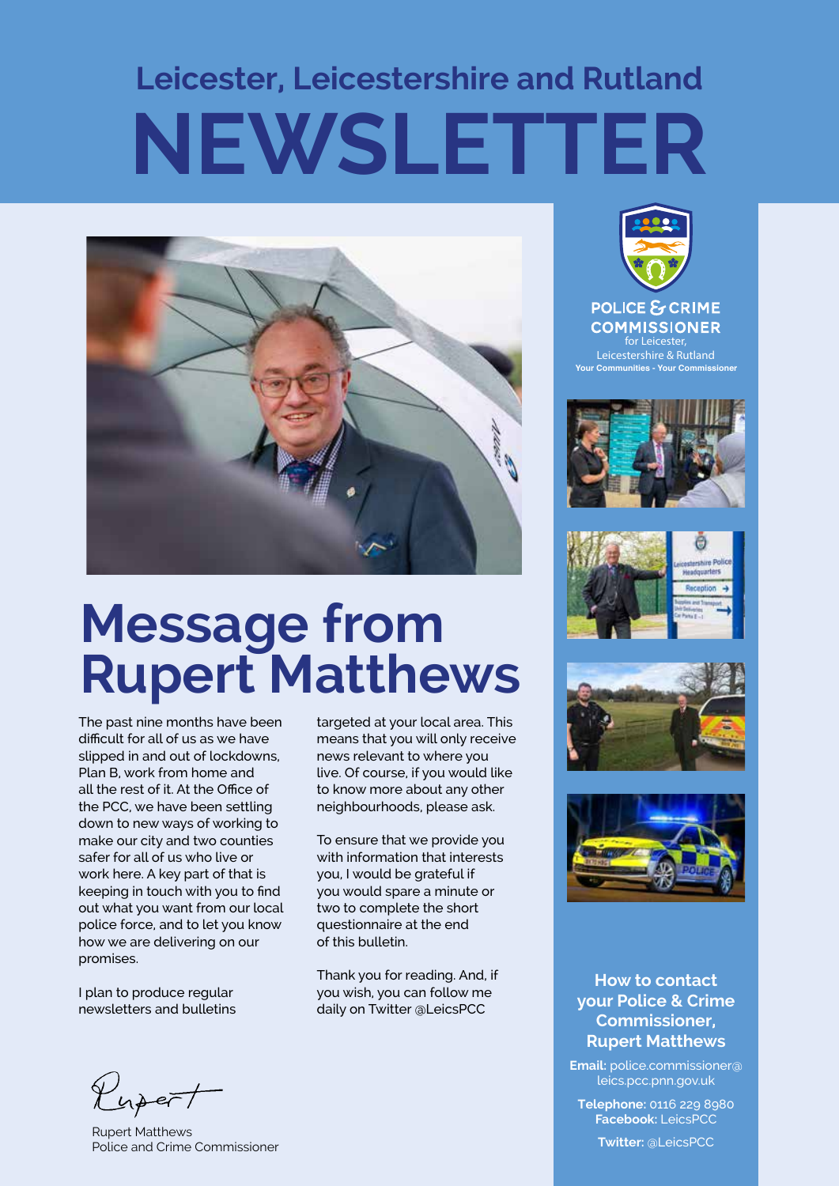# **Leicester, Leicestershire and Rutland NEWSLETTER**



## **Message from Rupert Matthews**

The past nine months have been difficult for all of us as we have slipped in and out of lockdowns, Plan B, work from home and all the rest of it. At the Office of the PCC, we have been settling down to new ways of working to make our city and two counties safer for all of us who live or work here. A key part of that is keeping in touch with you to find out what you want from our local police force, and to let you know how we are delivering on our promises.

I plan to produce regular newsletters and bulletins targeted at your local area. This means that you will only receive news relevant to where you live. Of course, if you would like to know more about any other neighbourhoods, please ask.

To ensure that we provide you with information that interests you, I would be grateful if you would spare a minute or two to complete the short questionnaire at the end of this bulletin.

Thank you for reading. And, if you wish, you can follow me daily on Twitter @LeicsPCC



**COMMISSIONER for Leicester, Leicestershire & Rutland Your Communities - Your Commission** 









### **How to contact your Police & Crime Commissioner, Rupert Matthews**

**Email:** police.commissioner@ leics.pcc.pnn.gov.uk

**Telephone:** 0116 229 8980 **Facebook:** LeicsPCC

**Twitter:** @LeicsPCC

Kupert

Rupert Matthews Police and Crime Commissioner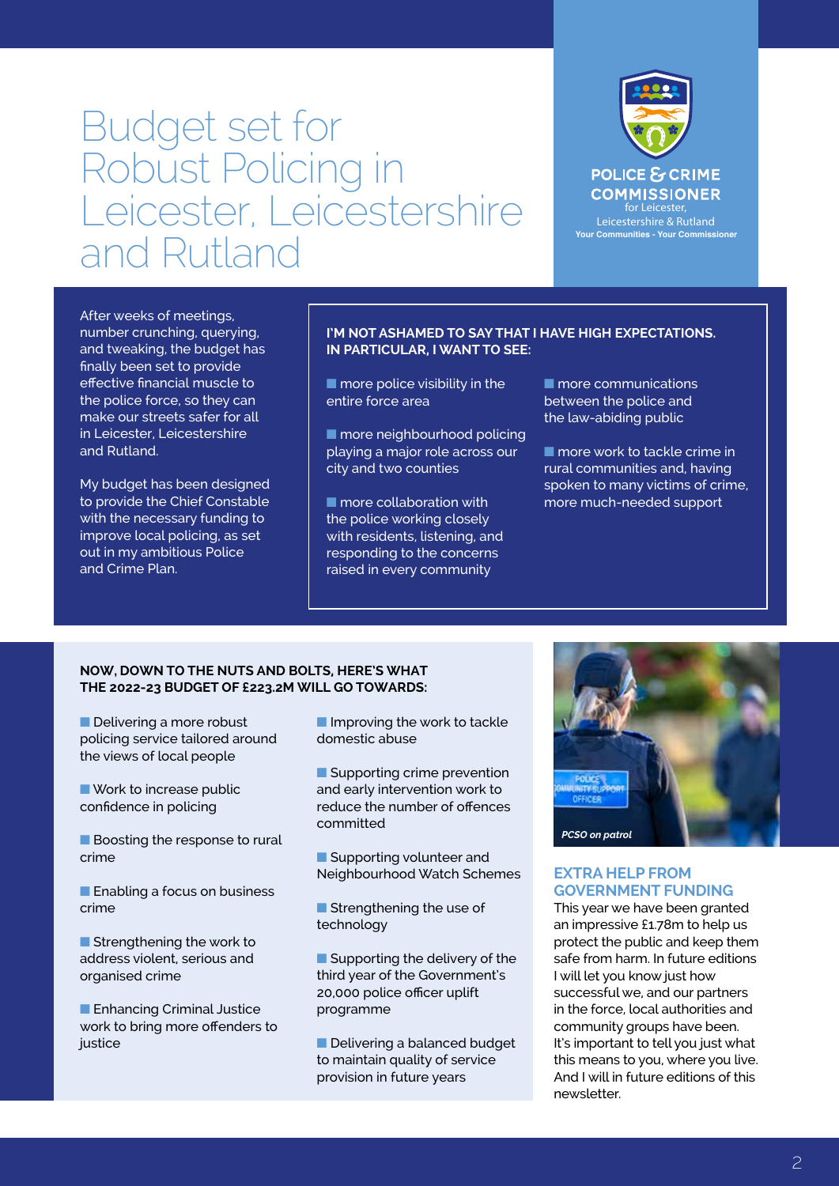### Budget set for Robust Policing in Leicester, Leicestershire and Rutland



After weeks of meetings, number crunching, querying, and tweaking, the budget has finally been set to provide effective financial muscle to the police force, so they can make our streets safer for all in Leicester, Leicestershire and Rutland.

My budget has been designed to provide the Chief Constable with the necessary funding to improve local policing, as set out in my ambitious Police and Crime Plan.

#### **I'M NOT ASHAMED TO SAY THAT I HAVE HIGH EXPECTATIONS. IN PARTICULAR, I WANT TO SEE:**

 $\blacksquare$  more police visibility in the entire force area

■ more neighbourhood policing playing a major role across our city and two counties

■ more collaboration with the police working closely with residents, listening, and responding to the concerns raised in every community

■ more communications between the police and the law-abiding public

■ more work to tackle crime in rural communities and, having spoken to many victims of crime, more much-needed support

#### **NOW, DOWN TO THE NUTS AND BOLTS, HERE'S WHAT THE 2022-23 BUDGET OF £223.2M WILL GO TOWARDS:**

■ Delivering a more robust policing service tailored around the views of local people

■ Work to increase public confidence in policing

■ Boosting the response to rural crime

■ Enabling a focus on business crime

■ Strengthening the work to address violent, serious and organised crime

■ Enhancing Criminal Justice work to bring more offenders to iustice

■ Improving the work to tackle domestic abuse

■ Supporting crime prevention and early intervention work to reduce the number of offences committed

■ Supporting volunteer and Neighbourhood Watch Schemes

■ Strengthening the use of technology

■ Supporting the delivery of the third year of the Government's 20,000 police officer uplift programme

■ Delivering a balanced budget to maintain quality of service provision in future years



#### **EXTRA HELP FROM GOVERNMENT FUNDING**

This year we have been granted an impressive £1.78m to help us protect the public and keep them safe from harm. In future editions I will let you know just how successful we, and our partners in the force, local authorities and community groups have been. It's important to tell you just what this means to you, where you live. And I will in future editions of this newsletter.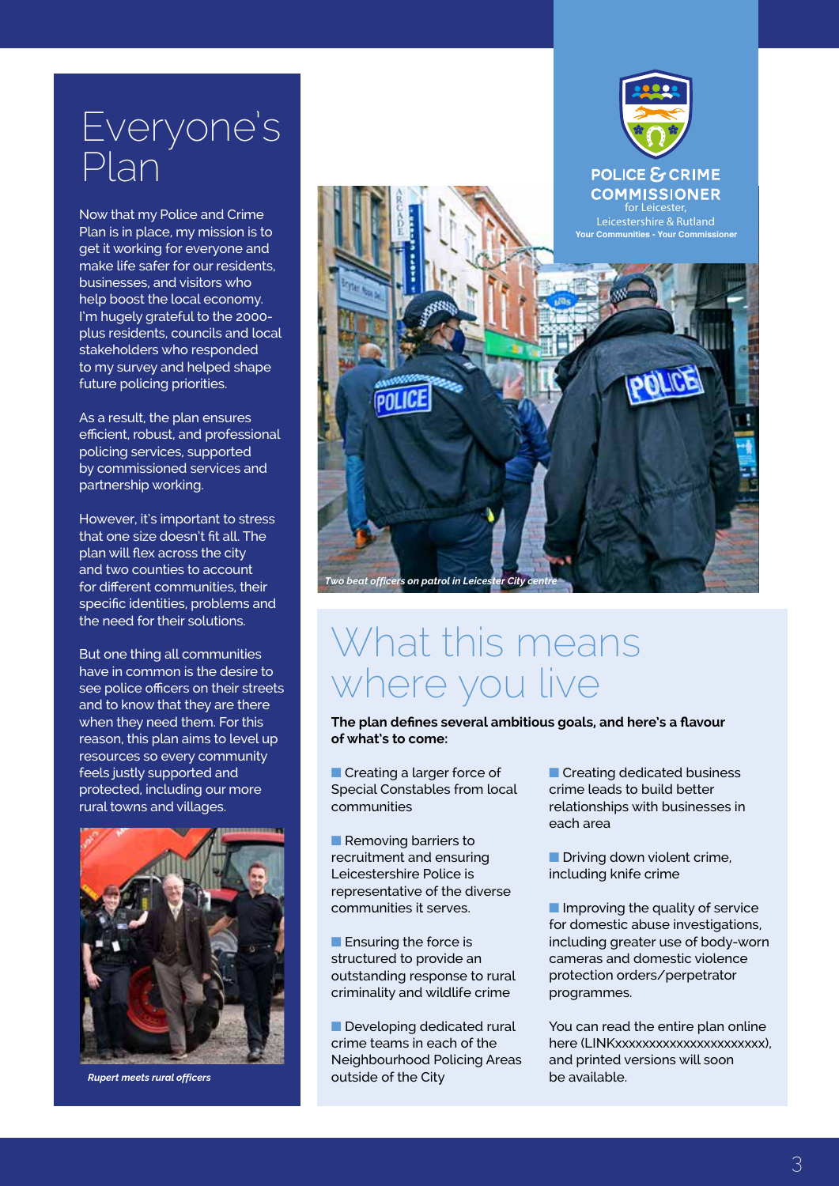### Everyone's Plan

Now that my Police and Crime Plan is in place, my mission is to get it working for everyone and make life safer for our residents, businesses, and visitors who help boost the local economy. I'm hugely grateful to the 2000 plus residents, councils and local stakeholders who responded to my survey and helped shape future policing priorities.

As a result, the plan ensures efficient, robust, and professional policing services, supported by commissioned services and partnership working.

However, it's important to stress that one size doesn't fit all. The plan will flex across the city and two counties to account for different communities, their specific identities, problems and the need for their solutions.

But one thing all communities have in common is the desire to see police officers on their streets and to know that they are there when they need them. For this reason, this plan aims to level up resources so every community feels justly supported and protected, including our more rural towns and villages.



*Rupert meets rural officers*



### What this means where you live

**The plan defines several ambitious goals, and here's a flavour of what's to come:**

■ Creating a larger force of Special Constables from local communities

■ Removing barriers to recruitment and ensuring Leicestershire Police is representative of the diverse communities it serves.

■ Ensuring the force is structured to provide an outstanding response to rural criminality and wildlife crime

■ Developing dedicated rural crime teams in each of the Neighbourhood Policing Areas outside of the City

■ Creating dedicated business crime leads to build better relationships with businesses in each area

■ Driving down violent crime, including knife crime

■ Improving the quality of service for domestic abuse investigations, including greater use of body-worn cameras and domestic violence protection orders/perpetrator programmes.

You can read the entire plan online here (LINKxxxxxxxxxxxxxxxxxxxxxx), and printed versions will soon be available.